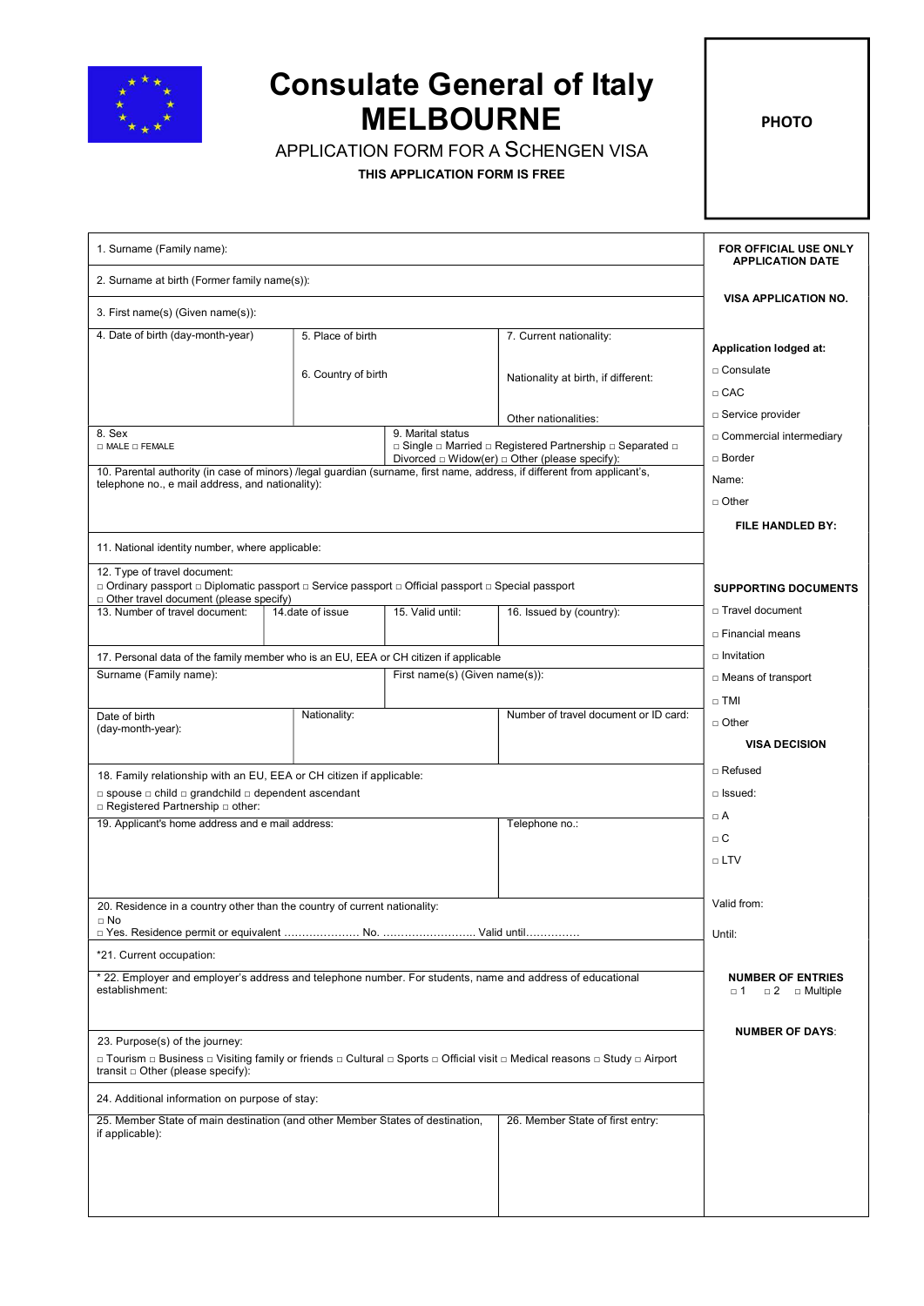

## Consulate General of Italy MELBOURNE

APPLICATION FORM FOR A SCHENGEN VISA

THIS APPLICATION FORM IS FREE

PHOTO

| 1. Surname (Family name):                                                                                                                                            | FOR OFFICIAL USE ONLY<br><b>APPLICATION DATE</b>                                                                                                                               |                                |                                                                                                                                                |                                                 |  |
|----------------------------------------------------------------------------------------------------------------------------------------------------------------------|--------------------------------------------------------------------------------------------------------------------------------------------------------------------------------|--------------------------------|------------------------------------------------------------------------------------------------------------------------------------------------|-------------------------------------------------|--|
| 2. Surname at birth (Former family name(s)):                                                                                                                         |                                                                                                                                                                                |                                |                                                                                                                                                |                                                 |  |
| 3. First name(s) (Given name(s)):                                                                                                                                    | <b>VISA APPLICATION NO.</b>                                                                                                                                                    |                                |                                                                                                                                                |                                                 |  |
| 4. Date of birth (day-month-year)                                                                                                                                    | 5. Place of birth                                                                                                                                                              |                                | 7. Current nationality:                                                                                                                        |                                                 |  |
|                                                                                                                                                                      |                                                                                                                                                                                |                                |                                                                                                                                                | <b>Application lodged at:</b>                   |  |
|                                                                                                                                                                      | 6. Country of birth                                                                                                                                                            |                                | Nationality at birth, if different:                                                                                                            | □ Consulate                                     |  |
|                                                                                                                                                                      |                                                                                                                                                                                |                                |                                                                                                                                                | $\Box$ CAC                                      |  |
| 8. Sex                                                                                                                                                               |                                                                                                                                                                                | 9. Marital status              | Other nationalities:                                                                                                                           | □ Service provider<br>□ Commercial intermediary |  |
| $\square$ MALE $\square$ FEMALE                                                                                                                                      |                                                                                                                                                                                |                                | $\Box$ Single $\Box$ Married $\Box$ Registered Partnership $\Box$ Separated $\Box$<br>Divorced $\Box$ Widow(er) $\Box$ Other (please specify): | □ Border                                        |  |
| 10. Parental authority (in case of minors) /legal guardian (surname, first name, address, if different from applicant's,                                             |                                                                                                                                                                                |                                |                                                                                                                                                | Name:                                           |  |
| telephone no., e mail address, and nationality):                                                                                                                     |                                                                                                                                                                                |                                |                                                                                                                                                | $\Box$ Other                                    |  |
|                                                                                                                                                                      |                                                                                                                                                                                |                                |                                                                                                                                                | FILE HANDLED BY:                                |  |
| 11. National identity number, where applicable:                                                                                                                      |                                                                                                                                                                                |                                |                                                                                                                                                |                                                 |  |
| 12. Type of travel document:                                                                                                                                         |                                                                                                                                                                                |                                |                                                                                                                                                |                                                 |  |
|                                                                                                                                                                      | □ Ordinary passport □ Diplomatic passport □ Service passport □ Official passport □ Special passport<br><b>SUPPORTING DOCUMENTS</b><br>□ Other travel document (please specify) |                                |                                                                                                                                                |                                                 |  |
| 13. Number of travel document:                                                                                                                                       | 14.date of issue                                                                                                                                                               | 15. Valid until:               | 16. Issued by (country):                                                                                                                       | □ Travel document                               |  |
|                                                                                                                                                                      |                                                                                                                                                                                |                                |                                                                                                                                                | □ Financial means                               |  |
|                                                                                                                                                                      | 17. Personal data of the family member who is an EU, EEA or CH citizen if applicable                                                                                           |                                |                                                                                                                                                |                                                 |  |
| Surname (Family name):                                                                                                                                               |                                                                                                                                                                                | First name(s) (Given name(s)): |                                                                                                                                                | □ Means of transport                            |  |
| Date of birth                                                                                                                                                        | Nationality:                                                                                                                                                                   |                                | Number of travel document or ID card:                                                                                                          | $\Box$ TMI                                      |  |
| (day-month-year):                                                                                                                                                    |                                                                                                                                                                                |                                |                                                                                                                                                | $\Box$ Other                                    |  |
|                                                                                                                                                                      |                                                                                                                                                                                |                                |                                                                                                                                                | <b>VISA DECISION</b>                            |  |
| 18. Family relationship with an EU, EEA or CH citizen if applicable:                                                                                                 |                                                                                                                                                                                |                                | □ Refused                                                                                                                                      |                                                 |  |
| $\Box$ spouse $\Box$ child $\Box$ grandchild $\Box$ dependent ascendant<br>□ Registered Partnership □ other:                                                         |                                                                                                                                                                                |                                |                                                                                                                                                | $\Box$ Issued:                                  |  |
|                                                                                                                                                                      | 19. Applicant's home address and e mail address:                                                                                                                               |                                | Telephone no.:                                                                                                                                 | $\Box$ A                                        |  |
|                                                                                                                                                                      |                                                                                                                                                                                |                                |                                                                                                                                                | $\Box$ C                                        |  |
|                                                                                                                                                                      |                                                                                                                                                                                |                                |                                                                                                                                                | $\Box$ LTV                                      |  |
| 20. Residence in a country other than the country of current nationality:                                                                                            |                                                                                                                                                                                |                                |                                                                                                                                                | Valid from:                                     |  |
| $\Box$ No                                                                                                                                                            |                                                                                                                                                                                |                                |                                                                                                                                                |                                                 |  |
| *21. Current occupation:                                                                                                                                             |                                                                                                                                                                                |                                |                                                                                                                                                | Until:                                          |  |
| * 22. Employer and employer's address and telephone number. For students, name and address of educational                                                            |                                                                                                                                                                                |                                |                                                                                                                                                | <b>NUMBER OF ENTRIES</b>                        |  |
| establishment:                                                                                                                                                       |                                                                                                                                                                                |                                |                                                                                                                                                | $\square$ 1<br>$\Box$ 2 $\Box$ Multiple         |  |
| 23. Purpose(s) of the journey:                                                                                                                                       |                                                                                                                                                                                |                                |                                                                                                                                                | <b>NUMBER OF DAYS:</b>                          |  |
| ם Tourism ם Business ם Visiting family or friends ם Cultural ם Sports ם Official visit ם Medical reasons ם Study ם Airport<br>transit $\Box$ Other (please specify): |                                                                                                                                                                                |                                |                                                                                                                                                |                                                 |  |
| 24. Additional information on purpose of stay:                                                                                                                       |                                                                                                                                                                                |                                |                                                                                                                                                |                                                 |  |
| 25. Member State of main destination (and other Member States of destination,<br>26. Member State of first entry:<br>if applicable):                                 |                                                                                                                                                                                |                                |                                                                                                                                                |                                                 |  |
|                                                                                                                                                                      |                                                                                                                                                                                |                                |                                                                                                                                                |                                                 |  |
|                                                                                                                                                                      |                                                                                                                                                                                |                                |                                                                                                                                                |                                                 |  |
|                                                                                                                                                                      |                                                                                                                                                                                |                                |                                                                                                                                                |                                                 |  |
|                                                                                                                                                                      |                                                                                                                                                                                |                                |                                                                                                                                                |                                                 |  |